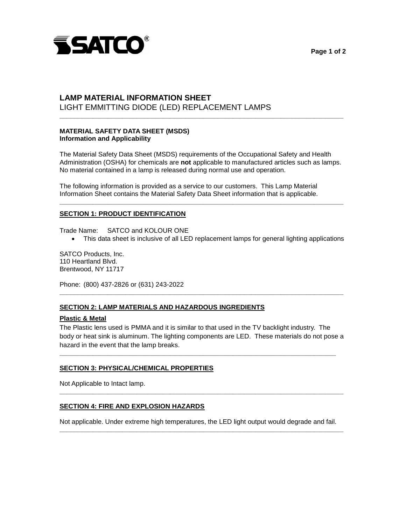

# LIGHT EMMITTING DIODE (LED) REPLACEMENT LAMPS **LAMP MATERIAL INFORMATION SHEET**

# **MATERIAL SAFETY DATA SHEET (MSDS)**

**Information and Applicability** 

 The Material Safety Data Sheet (MSDS) requirements of the Occupational Safety and Health Administration (OSHA) for chemicals are **not** applicable to manufactured articles such as lamps. No material contained in a lamp is released during normal use and operation.

**\_\_\_\_\_\_\_\_\_\_\_\_\_\_\_\_\_\_\_\_\_\_\_\_\_\_\_\_\_\_\_\_\_\_\_\_\_\_\_\_\_\_\_\_\_\_\_\_\_\_\_\_\_\_\_\_\_\_\_\_\_\_\_\_\_\_\_\_\_\_\_\_\_\_\_\_\_** 

**\_\_\_\_\_\_\_\_\_\_\_\_\_\_\_\_\_\_\_\_\_\_\_\_\_\_\_\_\_\_\_\_\_\_\_\_\_\_\_\_\_\_\_\_\_\_\_\_\_\_\_\_\_\_\_\_\_\_\_\_\_\_\_\_\_\_\_\_\_\_\_\_\_\_\_\_\_** 

 The following information is provided as a service to our customers. This Lamp Material Information Sheet contains the Material Safety Data Sheet information that is applicable.

#### **SECTION 1: PRODUCT IDENTIFICATION**

Trade Name: SATCO and KOLOUR ONE

• This data sheet is inclusive of all LED replacement lamps for general lighting applications

SATCO Products, Inc. 110 Heartland Blvd. Brentwood, NY 11717

Phone: (800) 437-2826 or (631) 243-2022

#### **SECTION 2: LAMP MATERIALS AND HAZARDOUS INGREDIENTS**

#### **Plastic & Metal**

 The Plastic lens used is PMMA and it is similar to that used in the TV backlight industry. The body or heat sink is aluminum. The lighting components are LED. These materials do not pose a hazard in the event that the lamp breaks.

**\_\_\_\_\_\_\_\_\_\_\_\_\_\_\_\_\_\_\_\_\_\_\_\_\_\_\_\_\_\_\_\_\_\_\_\_\_\_\_\_\_\_\_\_\_\_\_\_\_\_\_\_\_\_\_\_\_\_\_\_\_\_\_\_\_\_\_\_\_\_\_\_\_\_\_** 

**\_\_\_\_\_\_\_\_\_\_\_\_\_\_\_\_\_\_\_\_\_\_\_\_\_\_\_\_\_\_\_\_\_\_\_\_\_\_\_\_\_\_\_\_\_\_\_\_\_\_\_\_\_\_\_\_\_\_\_\_\_\_\_\_\_\_\_\_\_\_\_\_\_\_\_\_\_** 

#### **SECTION 3: PHYSICAL/CHEMICAL PROPERTIES**

Not Applicable to Intact lamp.

#### **SECTION 4: FIRE AND EXPLOSION HAZARDS**

 Not applicable. Under extreme high temperatures, the LED light output would degrade and fail. **\_\_\_\_\_\_\_\_\_\_\_\_\_\_\_\_\_\_\_\_\_\_\_\_\_\_\_\_\_\_\_\_\_\_\_\_\_\_\_\_\_\_\_\_\_\_\_\_\_\_\_\_\_\_\_\_\_\_\_\_\_\_\_\_\_\_\_\_\_\_\_\_\_\_\_\_\_** 

**\_\_\_\_\_\_\_\_\_\_\_\_\_\_\_\_\_\_\_\_\_\_\_\_\_\_\_\_\_\_\_\_\_\_\_\_\_\_\_\_\_\_\_\_\_\_\_\_\_\_\_\_\_\_\_\_\_\_\_\_\_\_\_\_\_\_\_\_\_\_\_\_\_\_\_\_\_**